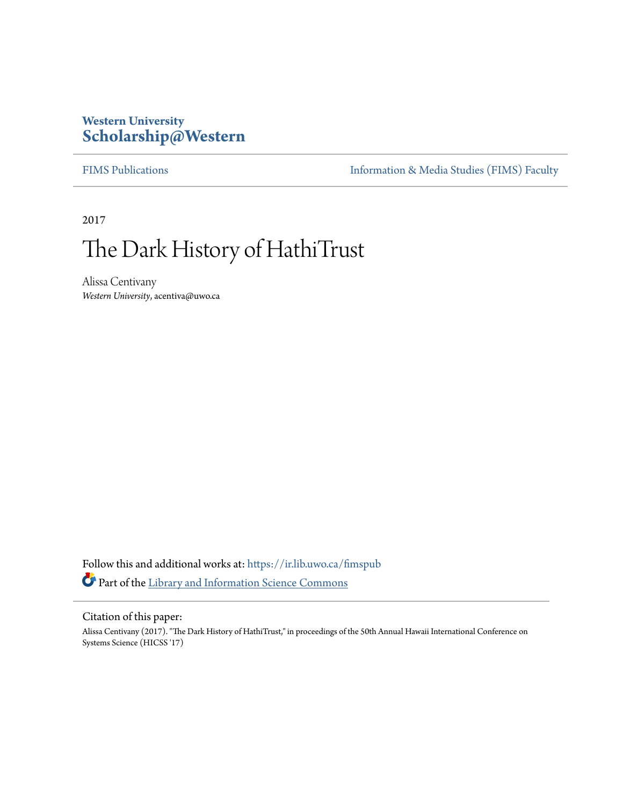# **Western University [Scholarship@Western](https://ir.lib.uwo.ca?utm_source=ir.lib.uwo.ca%2Ffimspub%2F120&utm_medium=PDF&utm_campaign=PDFCoverPages)**

[FIMS Publications](https://ir.lib.uwo.ca/fimspub?utm_source=ir.lib.uwo.ca%2Ffimspub%2F120&utm_medium=PDF&utm_campaign=PDFCoverPages) [Information & Media Studies \(FIMS\) Faculty](https://ir.lib.uwo.ca/fims?utm_source=ir.lib.uwo.ca%2Ffimspub%2F120&utm_medium=PDF&utm_campaign=PDFCoverPages)

2017

# The Dark History of HathiTrust

Alissa Centivany *Western University*, acentiva@uwo.ca

Follow this and additional works at: [https://ir.lib.uwo.ca/fimspub](https://ir.lib.uwo.ca/fimspub?utm_source=ir.lib.uwo.ca%2Ffimspub%2F120&utm_medium=PDF&utm_campaign=PDFCoverPages) Part of the [Library and Information Science Commons](http://network.bepress.com/hgg/discipline/1018?utm_source=ir.lib.uwo.ca%2Ffimspub%2F120&utm_medium=PDF&utm_campaign=PDFCoverPages)

#### Citation of this paper:

Alissa Centivany (2017). "The Dark History of HathiTrust," in proceedings of the 50th Annual Hawaii International Conference on Systems Science (HICSS '17)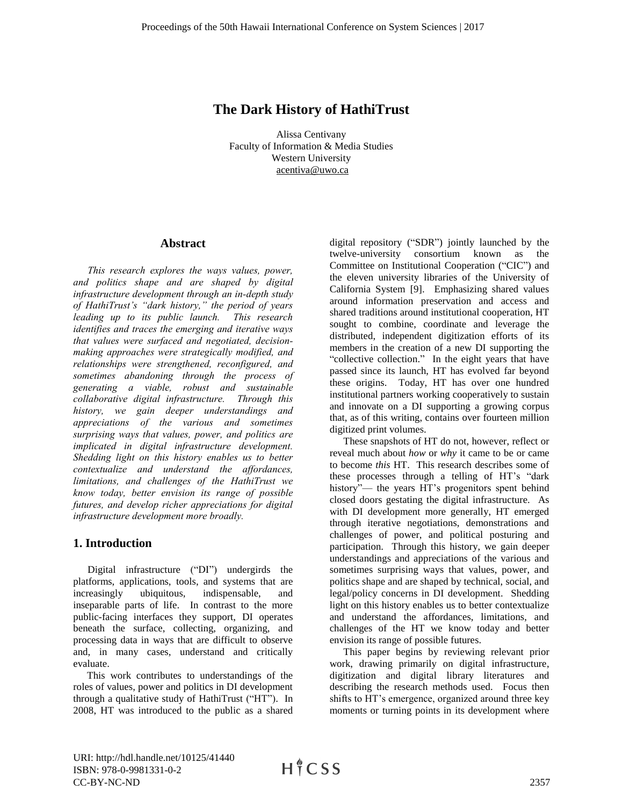# **The Dark History of HathiTrust**

Alissa Centivany Faculty of Information & Media Studies Western University acentiva@uwo.ca

#### **Abstract**

*This research explores the ways values, power, and politics shape and are shaped by digital infrastructure development through an in-depth study of HathiTrust's "dark history," the period of years leading up to its public launch. This research identifies and traces the emerging and iterative ways that values were surfaced and negotiated, decisionmaking approaches were strategically modified, and relationships were strengthened, reconfigured, and sometimes abandoning through the process of generating a viable, robust and sustainable collaborative digital infrastructure. Through this history, we gain deeper understandings and appreciations of the various and sometimes surprising ways that values, power, and politics are implicated in digital infrastructure development. Shedding light on this history enables us to better contextualize and understand the affordances, limitations, and challenges of the HathiTrust we know today, better envision its range of possible futures, and develop richer appreciations for digital infrastructure development more broadly.* 

## **1. Introduction**

Digital infrastructure ("DI") undergirds the platforms, applications, tools, and systems that are increasingly ubiquitous, indispensable, and inseparable parts of life. In contrast to the more public-facing interfaces they support, DI operates beneath the surface, collecting, organizing, and processing data in ways that are difficult to observe and, in many cases, understand and critically evaluate.

This work contributes to understandings of the roles of values, power and politics in DI development through a qualitative study of HathiTrust ("HT"). In 2008, HT was introduced to the public as a shared digital repository ("SDR") jointly launched by the twelve-university consortium known as the Committee on Institutional Cooperation ("CIC") and the eleven university libraries of the University of California System [9]. Emphasizing shared values around information preservation and access and shared traditions around institutional cooperation, HT sought to combine, coordinate and leverage the distributed, independent digitization efforts of its members in the creation of a new DI supporting the "collective collection." In the eight years that have passed since its launch, HT has evolved far beyond these origins. Today, HT has over one hundred institutional partners working cooperatively to sustain and innovate on a DI supporting a growing corpus that, as of this writing, contains over fourteen million digitized print volumes.

These snapshots of HT do not, however, reflect or reveal much about *how* or *why* it came to be or came to become *this* HT. This research describes some of these processes through a telling of HT's "dark history"— the years HT's progenitors spent behind closed doors gestating the digital infrastructure. As with DI development more generally, HT emerged through iterative negotiations, demonstrations and challenges of power, and political posturing and participation. Through this history, we gain deeper understandings and appreciations of the various and sometimes surprising ways that values, power, and politics shape and are shaped by technical, social, and legal/policy concerns in DI development. Shedding light on this history enables us to better contextualize and understand the affordances, limitations, and challenges of the HT we know today and better envision its range of possible futures.

This paper begins by reviewing relevant prior work, drawing primarily on digital infrastructure, digitization and digital library literatures and describing the research methods used. Focus then shifts to HT's emergence, organized around three key moments or turning points in its development where

URI: http://hdl.handle.net/10125/41440 ISBN: 978-0-9981331-0-2 CC-BY-NC-ND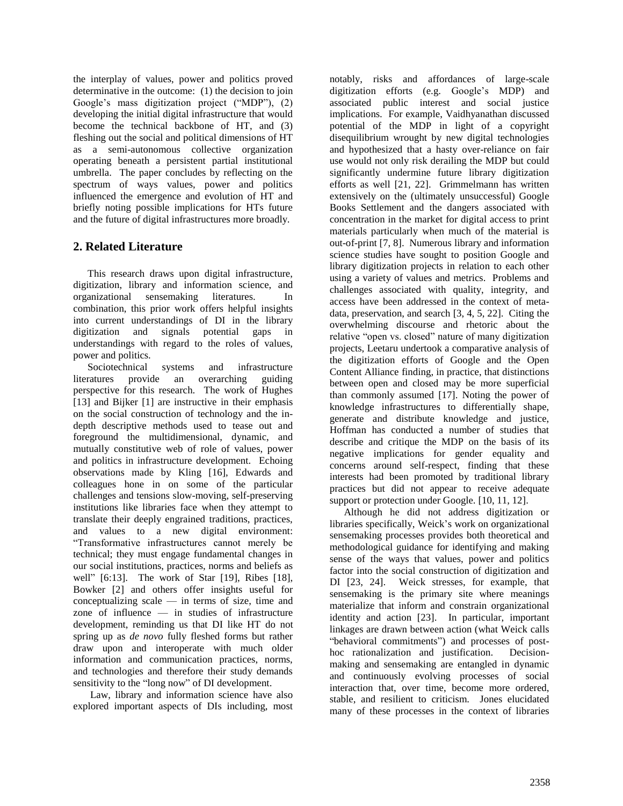the interplay of values, power and politics proved determinative in the outcome: (1) the decision to join Google's mass digitization project ("MDP"), (2) developing the initial digital infrastructure that would become the technical backbone of HT, and (3) fleshing out the social and political dimensions of HT as a semi-autonomous collective organization operating beneath a persistent partial institutional umbrella. The paper concludes by reflecting on the spectrum of ways values, power and politics influenced the emergence and evolution of HT and briefly noting possible implications for HTs future and the future of digital infrastructures more broadly.

# **2. Related Literature**

This research draws upon digital infrastructure, digitization, library and information science, and organizational sensemaking literatures. In combination, this prior work offers helpful insights into current understandings of DI in the library digitization and signals potential gaps in understandings with regard to the roles of values, power and politics.

Sociotechnical systems and infrastructure literatures provide an overarching guiding perspective for this research. The work of Hughes [13] and Bijker [1] are instructive in their emphasis on the social construction of technology and the indepth descriptive methods used to tease out and foreground the multidimensional, dynamic, and mutually constitutive web of role of values, power and politics in infrastructure development. Echoing observations made by Kling [16], Edwards and colleagues hone in on some of the particular challenges and tensions slow-moving, self-preserving institutions like libraries face when they attempt to translate their deeply engrained traditions, practices, and values to a new digital environment: "Transformative infrastructures cannot merely be technical; they must engage fundamental changes in our social institutions, practices, norms and beliefs as well" [6:13]. The work of Star [19], Ribes [18], Bowker [2] and others offer insights useful for conceptualizing scale — in terms of size, time and zone of influence — in studies of infrastructure development, reminding us that DI like HT do not spring up as *de novo* fully fleshed forms but rather draw upon and interoperate with much older information and communication practices, norms, and technologies and therefore their study demands sensitivity to the "long now" of DI development.

Law, library and information science have also explored important aspects of DIs including, most notably, risks and affordances of large-scale digitization efforts (e.g. Google's MDP) and associated public interest and social justice implications. For example, Vaidhyanathan discussed potential of the MDP in light of a copyright disequilibrium wrought by new digital technologies and hypothesized that a hasty over-reliance on fair use would not only risk derailing the MDP but could significantly undermine future library digitization efforts as well [21, 22]. Grimmelmann has written extensively on the (ultimately unsuccessful) Google Books Settlement and the dangers associated with concentration in the market for digital access to print materials particularly when much of the material is out-of-print [7, 8]. Numerous library and information science studies have sought to position Google and library digitization projects in relation to each other using a variety of values and metrics. Problems and challenges associated with quality, integrity, and access have been addressed in the context of metadata, preservation, and search [3, 4, 5, 22]. Citing the overwhelming discourse and rhetoric about the relative "open vs. closed" nature of many digitization projects, Leetaru undertook a comparative analysis of the digitization efforts of Google and the Open Content Alliance finding, in practice, that distinctions between open and closed may be more superficial than commonly assumed [17]. Noting the power of knowledge infrastructures to differentially shape, generate and distribute knowledge and justice, Hoffman has conducted a number of studies that describe and critique the MDP on the basis of its negative implications for gender equality and concerns around self-respect, finding that these interests had been promoted by traditional library practices but did not appear to receive adequate support or protection under Google. [10, 11, 12].

Although he did not address digitization or libraries specifically, Weick's work on organizational sensemaking processes provides both theoretical and methodological guidance for identifying and making sense of the ways that values, power and politics factor into the social construction of digitization and DI [23, 24]. Weick stresses, for example, that sensemaking is the primary site where meanings materialize that inform and constrain organizational identity and action [23]. In particular, important linkages are drawn between action (what Weick calls "behavioral commitments") and processes of posthoc rationalization and justification. Decisionmaking and sensemaking are entangled in dynamic and continuously evolving processes of social interaction that, over time, become more ordered, stable, and resilient to criticism. Jones elucidated many of these processes in the context of libraries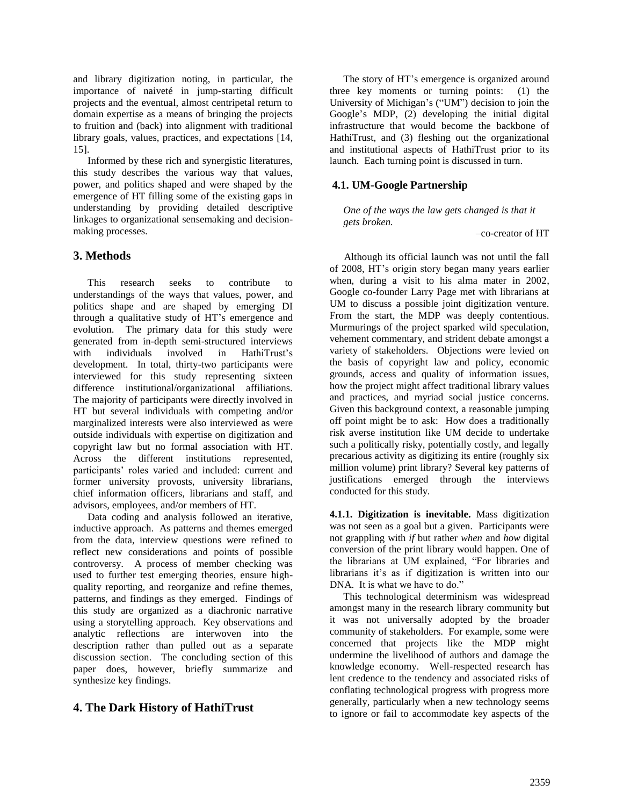and library digitization noting, in particular, the importance of naiveté in jump-starting difficult projects and the eventual, almost centripetal return to domain expertise as a means of bringing the projects to fruition and (back) into alignment with traditional library goals, values, practices, and expectations [14, 15].

Informed by these rich and synergistic literatures, this study describes the various way that values, power, and politics shaped and were shaped by the emergence of HT filling some of the existing gaps in understanding by providing detailed descriptive linkages to organizational sensemaking and decisionmaking processes.

## **3. Methods**

This research seeks to contribute to understandings of the ways that values, power, and politics shape and are shaped by emerging DI through a qualitative study of HT's emergence and evolution. The primary data for this study were generated from in-depth semi-structured interviews with individuals involved in HathiTrust's development. In total, thirty-two participants were interviewed for this study representing sixteen difference institutional/organizational affiliations. The majority of participants were directly involved in HT but several individuals with competing and/or marginalized interests were also interviewed as were outside individuals with expertise on digitization and copyright law but no formal association with HT. Across the different institutions represented, participants' roles varied and included: current and former university provosts, university librarians, chief information officers, librarians and staff, and advisors, employees, and/or members of HT.

Data coding and analysis followed an iterative, inductive approach. As patterns and themes emerged from the data, interview questions were refined to reflect new considerations and points of possible controversy. A process of member checking was used to further test emerging theories, ensure highquality reporting, and reorganize and refine themes, patterns, and findings as they emerged. Findings of this study are organized as a diachronic narrative using a storytelling approach. Key observations and analytic reflections are interwoven into the description rather than pulled out as a separate discussion section. The concluding section of this paper does, however, briefly summarize and synthesize key findings.

# **4. The Dark History of HathiTrust**

The story of HT's emergence is organized around three key moments or turning points: (1) the University of Michigan's ("UM") decision to join the Google's MDP, (2) developing the initial digital infrastructure that would become the backbone of HathiTrust, and (3) fleshing out the organizational and institutional aspects of HathiTrust prior to its launch. Each turning point is discussed in turn.

#### **4.1. UM-Google Partnership**

*One of the ways the law gets changed is that it gets broken.* 

–co-creator of HT

Although its official launch was not until the fall of 2008, HT's origin story began many years earlier when, during a visit to his alma mater in 2002, Google co-founder Larry Page met with librarians at UM to discuss a possible joint digitization venture. From the start, the MDP was deeply contentious. Murmurings of the project sparked wild speculation, vehement commentary, and strident debate amongst a variety of stakeholders. Objections were levied on the basis of copyright law and policy, economic grounds, access and quality of information issues, how the project might affect traditional library values and practices, and myriad social justice concerns. Given this background context, a reasonable jumping off point might be to ask: How does a traditionally risk averse institution like UM decide to undertake such a politically risky, potentially costly, and legally precarious activity as digitizing its entire (roughly six million volume) print library? Several key patterns of justifications emerged through the interviews conducted for this study.

**4.1.1. Digitization is inevitable.** Mass digitization was not seen as a goal but a given. Participants were not grappling with *if* but rather *when* and *how* digital conversion of the print library would happen. One of the librarians at UM explained, "For libraries and librarians it's as if digitization is written into our DNA. It is what we have to do."

This technological determinism was widespread amongst many in the research library community but it was not universally adopted by the broader community of stakeholders. For example, some were concerned that projects like the MDP might undermine the livelihood of authors and damage the knowledge economy. Well-respected research has lent credence to the tendency and associated risks of conflating technological progress with progress more generally, particularly when a new technology seems to ignore or fail to accommodate key aspects of the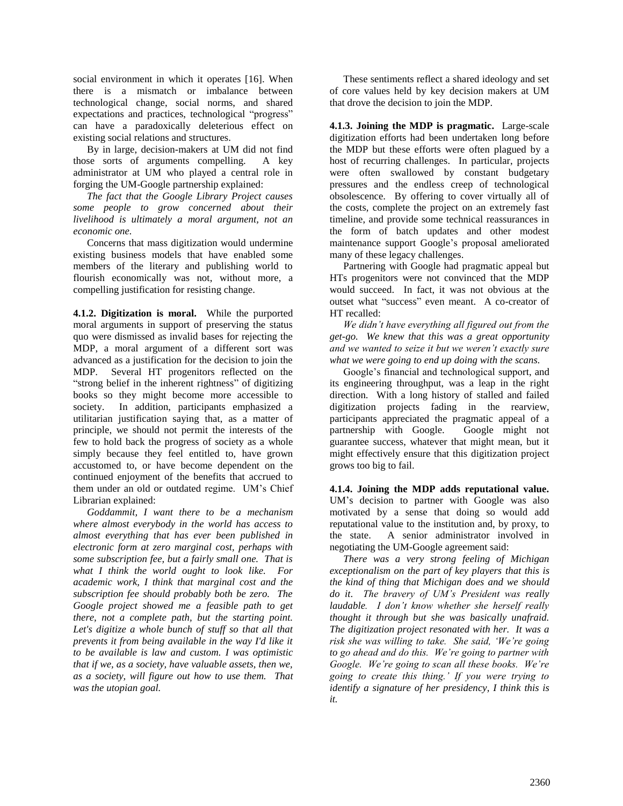social environment in which it operates [16]. When there is a mismatch or imbalance between technological change, social norms, and shared expectations and practices, technological "progress" can have a paradoxically deleterious effect on existing social relations and structures.

By in large, decision-makers at UM did not find those sorts of arguments compelling. A key administrator at UM who played a central role in forging the UM-Google partnership explained:

*The fact that the Google Library Project causes some people to grow concerned about their livelihood is ultimately a moral argument, not an economic one.* 

Concerns that mass digitization would undermine existing business models that have enabled some members of the literary and publishing world to flourish economically was not, without more, a compelling justification for resisting change.

**4.1.2. Digitization is moral.** While the purported moral arguments in support of preserving the status quo were dismissed as invalid bases for rejecting the MDP, a moral argument of a different sort was advanced as a justification for the decision to join the MDP. Several HT progenitors reflected on the "strong belief in the inherent rightness" of digitizing books so they might become more accessible to society.In addition, participants emphasized a utilitarian justification saying that, as a matter of principle, we should not permit the interests of the few to hold back the progress of society as a whole simply because they feel entitled to, have grown accustomed to, or have become dependent on the continued enjoyment of the benefits that accrued to them under an old or outdated regime. UM's Chief Librarian explained:

*Goddammit, I want there to be a mechanism where almost everybody in the world has access to almost everything that has ever been published in electronic form at zero marginal cost, perhaps with some subscription fee, but a fairly small one. That is what I think the world ought to look like. For academic work, I think that marginal cost and the subscription fee should probably both be zero. The Google project showed me a feasible path to get there, not a complete path, but the starting point. Let's digitize a whole bunch of stuff so that all that prevents it from being available in the way I'd like it to be available is law and custom. I was optimistic that if we, as a society, have valuable assets, then we, as a society, will figure out how to use them. That was the utopian goal.*

These sentiments reflect a shared ideology and set of core values held by key decision makers at UM that drove the decision to join the MDP.

**4.1.3. Joining the MDP is pragmatic.** Large-scale digitization efforts had been undertaken long before the MDP but these efforts were often plagued by a host of recurring challenges. In particular, projects were often swallowed by constant budgetary pressures and the endless creep of technological obsolescence. By offering to cover virtually all of the costs, complete the project on an extremely fast timeline, and provide some technical reassurances in the form of batch updates and other modest maintenance support Google's proposal ameliorated many of these legacy challenges.

Partnering with Google had pragmatic appeal but HTs progenitors were not convinced that the MDP would succeed. In fact, it was not obvious at the outset what "success" even meant. A co-creator of HT recalled:

*We didn't have everything all figured out from the get-go. We knew that this was a great opportunity and we wanted to seize it but we weren't exactly sure what we were going to end up doing with the scans.*

Google's financial and technological support, and its engineering throughput, was a leap in the right direction. With a long history of stalled and failed digitization projects fading in the rearview, participants appreciated the pragmatic appeal of a partnership with Google. Google might not guarantee success, whatever that might mean, but it might effectively ensure that this digitization project grows too big to fail.

**4.1.4. Joining the MDP adds reputational value.**  UM's decision to partner with Google was also motivated by a sense that doing so would add reputational value to the institution and, by proxy, to the state. A senior administrator involved in negotiating the UM-Google agreement said:

*There was a very strong feeling of Michigan exceptionalism on the part of key players that this is the kind of thing that Michigan does and we should do it*. *The bravery of UM's President was really laudable. I don't know whether she herself really thought it through but she was basically unafraid. The digitization project resonated with her. It was a risk she was willing to take. She said, 'We're going to go ahead and do this. We're going to partner with Google. We're going to scan all these books. We're going to create this thing.' If you were trying to identify a signature of her presidency, I think this is it.*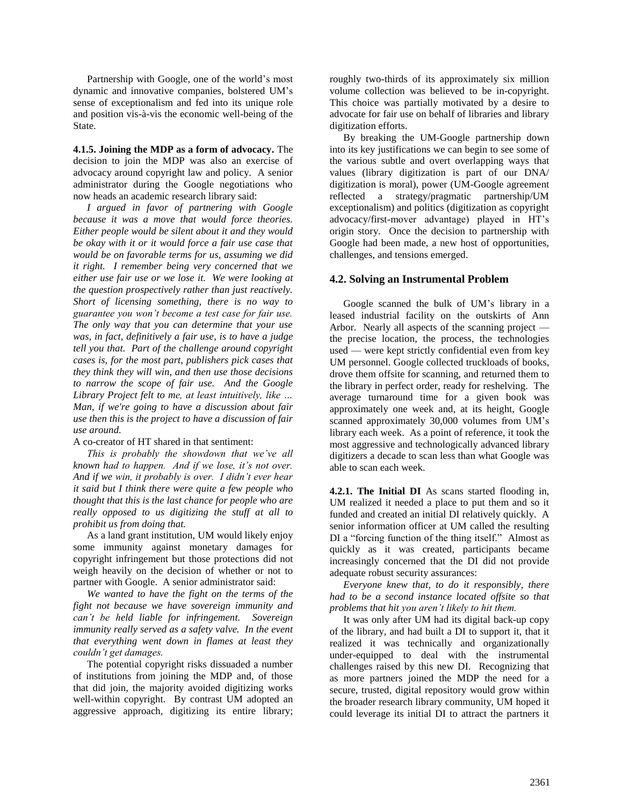Partnership with Google, one of the world's most dynamic and innovative companies, bolstered UM's sense of exceptionalism and fed into its unique role and position vis-à-vis the economic well-being of the State.

**4.1.5. Joining the MDP as a form of advocacy.** The decision to join the MDP was also an exercise of advocacy around copyright law and policy. A senior administrator during the Google negotiations who now heads an academic research library said:

*I argued in favor of partnering with Google because it was a move that would force theories. Either people would be silent about it and they would be okay with it or it would force a fair use case that would be on favorable terms for us, assuming we did it right. I remember being very concerned that we either use fair use or we lose it. We were looking at the question prospectively rather than just reactively. Short of licensing something, there is no way to guarantee you won't become a test case for fair use. The only way that you can determine that your use was, in fact, definitively a fair use, is to have a judge tell you that. Part of the challenge around copyright cases is, for the most part, publishers pick cases that they think they will win, and then use those decisions to narrow the scope of fair use. And the Google Library Project felt to me, at least intuitively, like … Man, if we're going to have a discussion about fair use then this is the project to have a discussion of fair use around.*

#### A co-creator of HT shared in that sentiment:

*This is probably the showdown that we've all known had to happen. And if we lose, it's not over. And if we win, it probably is over. I didn't ever hear it said but I think there were quite a few people who thought that this is the last chance for people who are really opposed to us digitizing the stuff at all to prohibit us from doing that.*

As a land grant institution, UM would likely enjoy some immunity against monetary damages for copyright infringement but those protections did not weigh heavily on the decision of whether or not to partner with Google. A senior administrator said:

*We wanted to have the fight on the terms of the fight not because we have sovereign immunity and can't be held liable for infringement. Sovereign immunity really served as a safety valve. In the event that everything went down in flames at least they couldn't get damages.* 

The potential copyright risks dissuaded a number of institutions from joining the MDP and, of those that did join, the majority avoided digitizing works well-within copyright. By contrast UM adopted an aggressive approach, digitizing its entire library; roughly two-thirds of its approximately six million volume collection was believed to be in-copyright. This choice was partially motivated by a desire to advocate for fair use on behalf of libraries and library digitization efforts.

By breaking the UM-Google partnership down into its key justifications we can begin to see some of the various subtle and overt overlapping ways that values (library digitization is part of our DNA/ digitization is moral), power (UM-Google agreement reflected a strategy/pragmatic partnership/UM exceptionalism) and politics (digitization as copyright advocacy/first-mover advantage) played in HT's origin story. Once the decision to partnership with Google had been made, a new host of opportunities, challenges, and tensions emerged.

#### **4.2. Solving an Instrumental Problem**

Google scanned the bulk of UM's library in a leased industrial facility on the outskirts of Ann Arbor. Nearly all aspects of the scanning project the precise location, the process, the technologies used — were kept strictly confidential even from key UM personnel. Google collected truckloads of books, drove them offsite for scanning, and returned them to the library in perfect order, ready for reshelving. The average turnaround time for a given book was approximately one week and, at its height, Google scanned approximately 30,000 volumes from UM's library each week. As a point of reference, it took the most aggressive and technologically advanced library digitizers a decade to scan less than what Google was able to scan each week.

**4.2.1. The Initial DI** As scans started flooding in, UM realized it needed a place to put them and so it funded and created an initial DI relatively quickly. A senior information officer at UM called the resulting DI a "forcing function of the thing itself." Almost as quickly as it was created, participants became increasingly concerned that the DI did not provide adequate robust security assurances:

*Everyone knew that, to do it responsibly, there had to be a second instance located offsite so that problems that hit you aren't likely to hit them.*

It was only after UM had its digital back-up copy of the library, and had built a DI to support it, that it realized it was technically and organizationally under-equipped to deal with the instrumental challenges raised by this new DI. Recognizing that as more partners joined the MDP the need for a secure, trusted, digital repository would grow within the broader research library community, UM hoped it could leverage its initial DI to attract the partners it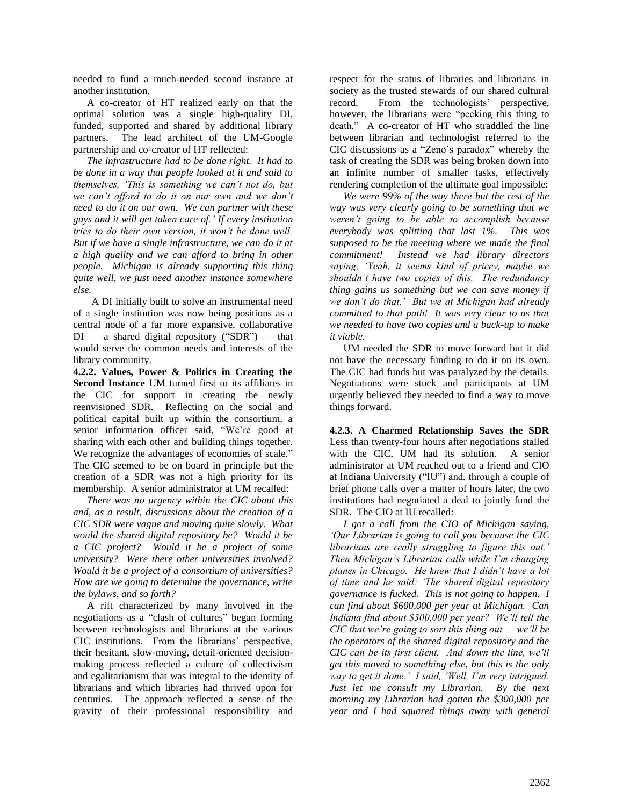needed to fund a much-needed second instance at another institution.

A co-creator of HT realized early on that the optimal solution was a single high-quality DI, funded, supported and shared by additional library partners. The lead architect of the UM-Google partnership and co-creator of HT reflected:

*The infrastructure had to be done right. It had to be done in a way that people looked at it and said to themselves, 'This is something we can't not do, but we can't afford to do it on our own and we don't need to do it on our own. We can partner with these guys and it will get taken care of.' If every institution tries to do their own version, it won't be done well. But if we have a single infrastructure, we can do it at a high quality and we can afford to bring in other people. Michigan is already supporting this thing quite well, we just need another instance somewhere else.* 

A DI initially built to solve an instrumental need of a single institution was now being positions as a central node of a far more expansive, collaborative  $DI$  — a shared digital repository ("SDR") — that would serve the common needs and interests of the library community.

**4.2.2. Values, Power & Politics in Creating the Second Instance** UM turned first to its affiliates in the CIC for support in creating the newly reenvisioned SDR. Reflecting on the social and political capital built up within the consortium, a senior information officer said, "We're good at sharing with each other and building things together. We recognize the advantages of economies of scale." The CIC seemed to be on board in principle but the creation of a SDR was not a high priority for its membership. A senior administrator at UM recalled:

*There was no urgency within the CIC about this and, as a result, discussions about the creation of a CIC SDR were vague and moving quite slowly. What would the shared digital repository be? Would it be a CIC project? Would it be a project of some university? Were there other universities involved? Would it be a project of a consortium of universities? How are we going to determine the governance, write the bylaws, and so forth?*

A rift characterized by many involved in the negotiations as a "clash of cultures" began forming between technologists and librarians at the various CIC institutions. From the librarians' perspective, their hesitant, slow-moving, detail-oriented decisionmaking process reflected a culture of collectivism and egalitarianism that was integral to the identity of librarians and which libraries had thrived upon for centuries. The approach reflected a sense of the gravity of their professional responsibility and respect for the status of libraries and librarians in society as the trusted stewards of our shared cultural record. From the technologists' perspective, however, the librarians were "pecking this thing to death." A co-creator of HT who straddled the line between librarian and technologist referred to the CIC discussions as a "Zeno's paradox" whereby the task of creating the SDR was being broken down into an infinite number of smaller tasks, effectively rendering completion of the ultimate goal impossible:

*We were 99% of the way there but the rest of the way was very clearly going to be something that we weren't going to be able to accomplish because everybody was splitting that last 1%. This was supposed to be the meeting where we made the final commitment! Instead we had library directors saying, 'Yeah, it seems kind of pricey, maybe we shouldn't have two copies of this. The redundancy thing gains us something but we can save money if we don't do that.' But we at Michigan had already committed to that path! It was very clear to us that we needed to have two copies and a back-up to make it viable.* 

UM needed the SDR to move forward but it did not have the necessary funding to do it on its own. The CIC had funds but was paralyzed by the details. Negotiations were stuck and participants at UM urgently believed they needed to find a way to move things forward.

**4.2.3. A Charmed Relationship Saves the SDR** Less than twenty-four hours after negotiations stalled with the CIC, UM had its solution. A senior administrator at UM reached out to a friend and CIO at Indiana University ("IU") and, through a couple of brief phone calls over a matter of hours later, the two institutions had negotiated a deal to jointly fund the SDR. The CIO at IU recalled:

*I got a call from the CIO of Michigan saying, 'Our Librarian is going to call you because the CIC librarians are really struggling to figure this out.' Then Michigan's Librarian calls while I'm changing planes in Chicago. He knew that I didn't have a lot of time and he said: 'The shared digital repository governance is fucked. This is not going to happen. I can find about \$600,000 per year at Michigan. Can Indiana find about \$300,000 per year? We'll tell the CIC that we're going to sort this thing out — we'll be the operators of the shared digital repository and the CIC can be its first client. And down the line, we'll get this moved to something else, but this is the only way to get it done.' I said, 'Well, I'm very intrigued. Just let me consult my Librarian. By the next morning my Librarian had gotten the \$300,000 per year and I had squared things away with general*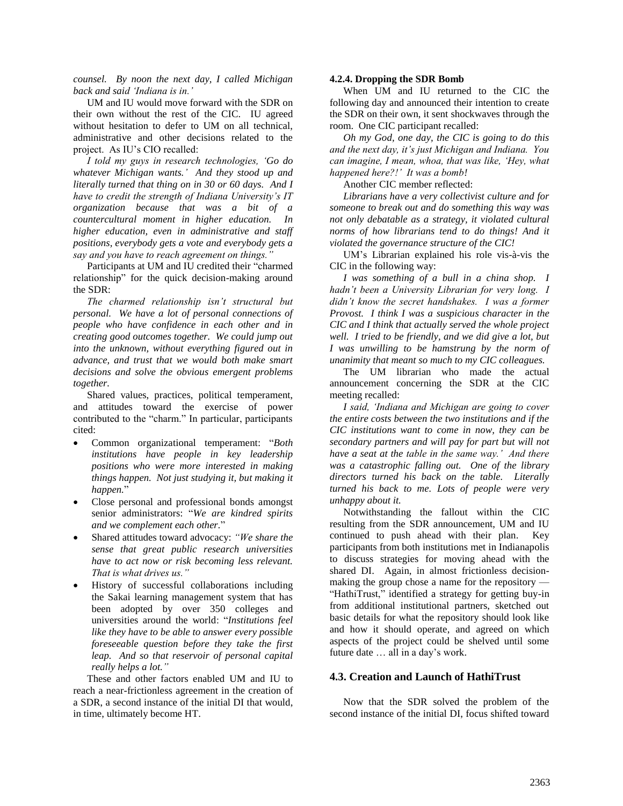*counsel. By noon the next day, I called Michigan back and said 'Indiana is in.'*

UM and IU would move forward with the SDR on their own without the rest of the CIC. IU agreed without hesitation to defer to UM on all technical, administrative and other decisions related to the project. As IU's CIO recalled:

*I told my guys in research technologies, 'Go do whatever Michigan wants.' And they stood up and literally turned that thing on in 30 or 60 days. And I have to credit the strength of Indiana University's IT organization because that was a bit of a countercultural moment in higher education. In higher education, even in administrative and staff positions, everybody gets a vote and everybody gets a say and you have to reach agreement on things."* 

Participants at UM and IU credited their "charmed relationship" for the quick decision-making around the SDR:

*The charmed relationship isn't structural but personal. We have a lot of personal connections of people who have confidence in each other and in creating good outcomes together. We could jump out into the unknown, without everything figured out in advance, and trust that we would both make smart decisions and solve the obvious emergent problems together.*

Shared values, practices, political temperament, and attitudes toward the exercise of power contributed to the "charm." In particular, participants cited:

- Common organizational temperament: "*Both institutions have people in key leadership positions who were more interested in making things happen. Not just studying it, but making it happen.*"
- Close personal and professional bonds amongst senior administrators: "*We are kindred spirits and we complement each other.*"
- Shared attitudes toward advocacy: *"We share the sense that great public research universities have to act now or risk becoming less relevant. That is what drives us."*
- History of successful collaborations including the Sakai learning management system that has been adopted by over 350 colleges and universities around the world: "*Institutions feel like they have to be able to answer every possible foreseeable question before they take the first leap. And so that reservoir of personal capital really helps a lot."*

These and other factors enabled UM and IU to reach a near-frictionless agreement in the creation of a SDR, a second instance of the initial DI that would, in time, ultimately become HT.

#### **4.2.4. Dropping the SDR Bomb**

When UM and IU returned to the CIC the following day and announced their intention to create the SDR on their own, it sent shockwaves through the room. One CIC participant recalled:

*Oh my God, one day, the CIC is going to do this and the next day, it's just Michigan and Indiana. You can imagine, I mean, whoa, that was like, 'Hey, what happened here?!' It was a bomb!*

Another CIC member reflected:

*Librarians have a very collectivist culture and for someone to break out and do something this way was not only debatable as a strategy, it violated cultural norms of how librarians tend to do things! And it violated the governance structure of the CIC!*

UM's Librarian explained his role vis-à-vis the CIC in the following way:

*I was something of a bull in a china shop. I hadn't been a University Librarian for very long. I didn't know the secret handshakes. I was a former Provost. I think I was a suspicious character in the CIC and I think that actually served the whole project well. I tried to be friendly, and we did give a lot, but I was unwilling to be hamstrung by the norm of unanimity that meant so much to my CIC colleagues.*

The UM librarian who made the actual announcement concerning the SDR at the CIC meeting recalled:

*I said, 'Indiana and Michigan are going to cover the entire costs between the two institutions and if the CIC institutions want to come in now, they can be secondary partners and will pay for part but will not have a seat at the table in the same way.' And there was a catastrophic falling out. One of the library directors turned his back on the table. Literally turned his back to me. Lots of people were very unhappy about it.*

Notwithstanding the fallout within the CIC resulting from the SDR announcement, UM and IU continued to push ahead with their plan. Key participants from both institutions met in Indianapolis to discuss strategies for moving ahead with the shared DI. Again, in almost frictionless decisionmaking the group chose a name for the repository — "HathiTrust," identified a strategy for getting buy-in from additional institutional partners, sketched out basic details for what the repository should look like and how it should operate, and agreed on which aspects of the project could be shelved until some future date … all in a day's work.

#### **4.3. Creation and Launch of HathiTrust**

Now that the SDR solved the problem of the second instance of the initial DI, focus shifted toward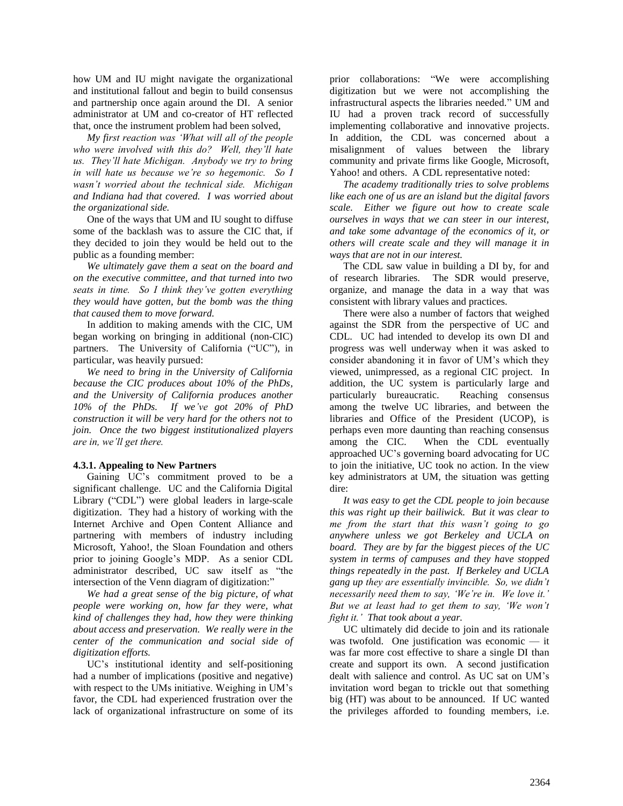how UM and IU might navigate the organizational and institutional fallout and begin to build consensus and partnership once again around the DI. A senior administrator at UM and co-creator of HT reflected that, once the instrument problem had been solved,

*My first reaction was 'What will all of the people who were involved with this do? Well, they'll hate us. They'll hate Michigan. Anybody we try to bring in will hate us because we're so hegemonic. So I wasn't worried about the technical side. Michigan and Indiana had that covered. I was worried about the organizational side.*

One of the ways that UM and IU sought to diffuse some of the backlash was to assure the CIC that, if they decided to join they would be held out to the public as a founding member:

*We ultimately gave them a seat on the board and on the executive committee, and that turned into two seats in time. So I think they've gotten everything they would have gotten, but the bomb was the thing that caused them to move forward.*

In addition to making amends with the CIC, UM began working on bringing in additional (non-CIC) partners. The University of California ("UC"), in particular, was heavily pursued:

*We need to bring in the University of California because the CIC produces about 10% of the PhDs, and the University of California produces another 10% of the PhDs. If we've got 20% of PhD construction it will be very hard for the others not to join. Once the two biggest institutionalized players are in, we'll get there.*

#### **4.3.1. Appealing to New Partners**

Gaining UC's commitment proved to be a significant challenge. UC and the California Digital Library ("CDL") were global leaders in large-scale digitization. They had a history of working with the Internet Archive and Open Content Alliance and partnering with members of industry including Microsoft, Yahoo!, the Sloan Foundation and others prior to joining Google's MDP. As a senior CDL administrator described, UC saw itself as "the intersection of the Venn diagram of digitization:"

*We had a great sense of the big picture, of what people were working on, how far they were, what kind of challenges they had, how they were thinking about access and preservation. We really were in the center of the communication and social side of digitization efforts.*

UC's institutional identity and self-positioning had a number of implications (positive and negative) with respect to the UMs initiative. Weighing in UM's favor, the CDL had experienced frustration over the lack of organizational infrastructure on some of its prior collaborations: "We were accomplishing digitization but we were not accomplishing the infrastructural aspects the libraries needed." UM and IU had a proven track record of successfully implementing collaborative and innovative projects. In addition, the CDL was concerned about a misalignment of values between the library community and private firms like Google, Microsoft, Yahoo! and others. A CDL representative noted:

*The academy traditionally tries to solve problems like each one of us are an island but the digital favors scale. Either we figure out how to create scale ourselves in ways that we can steer in our interest, and take some advantage of the economics of it, or others will create scale and they will manage it in ways that are not in our interest.*

The CDL saw value in building a DI by, for and of research libraries. The SDR would preserve, organize, and manage the data in a way that was consistent with library values and practices.

There were also a number of factors that weighed against the SDR from the perspective of UC and CDL. UC had intended to develop its own DI and progress was well underway when it was asked to consider abandoning it in favor of UM's which they viewed, unimpressed, as a regional CIC project. In addition, the UC system is particularly large and particularly bureaucratic. Reaching consensus among the twelve UC libraries, and between the libraries and Office of the President (UCOP), is perhaps even more daunting than reaching consensus among the CIC. When the CDL eventually approached UC's governing board advocating for UC to join the initiative, UC took no action. In the view key administrators at UM, the situation was getting dire:

*It was easy to get the CDL people to join because this was right up their bailiwick. But it was clear to me from the start that this wasn't going to go anywhere unless we got Berkeley and UCLA on board. They are by far the biggest pieces of the UC system in terms of campuses and they have stopped things repeatedly in the past. If Berkeley and UCLA gang up they are essentially invincible. So, we didn't necessarily need them to say, 'We're in. We love it.' But we at least had to get them to say, 'We won't fight it.' That took about a year.*

UC ultimately did decide to join and its rationale was twofold. One justification was economic — it was far more cost effective to share a single DI than create and support its own. A second justification dealt with salience and control. As UC sat on UM's invitation word began to trickle out that something big (HT) was about to be announced. If UC wanted the privileges afforded to founding members, i.e.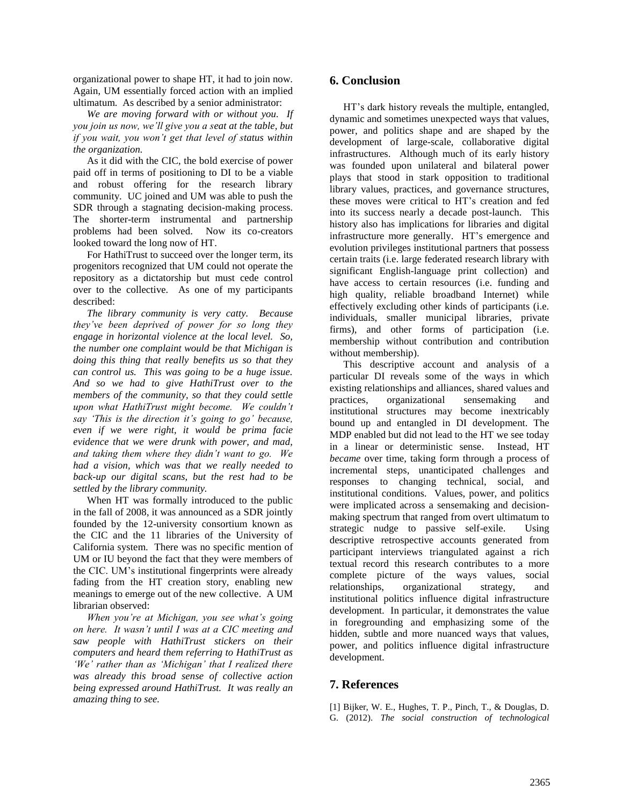organizational power to shape HT, it had to join now. Again, UM essentially forced action with an implied ultimatum. As described by a senior administrator:

*We are moving forward with or without you. If you join us now, we'll give you a seat at the table, but if you wait, you won't get that level of status within the organization.*

As it did with the CIC, the bold exercise of power paid off in terms of positioning to DI to be a viable and robust offering for the research library community. UC joined and UM was able to push the SDR through a stagnating decision-making process. The shorter-term instrumental and partnership problems had been solved. Now its co-creators looked toward the long now of HT.

For HathiTrust to succeed over the longer term, its progenitors recognized that UM could not operate the repository as a dictatorship but must cede control over to the collective. As one of my participants described:

*The library community is very catty. Because they've been deprived of power for so long they engage in horizontal violence at the local level. So, the number one complaint would be that Michigan is doing this thing that really benefits us so that they can control us. This was going to be a huge issue. And so we had to give HathiTrust over to the members of the community, so that they could settle upon what HathiTrust might become. We couldn't say 'This is the direction it's going to go' because, even if we were right, it would be prima facie evidence that we were drunk with power, and mad, and taking them where they didn't want to go. We had a vision, which was that we really needed to back-up our digital scans, but the rest had to be settled by the library community.*

When HT was formally introduced to the public in the fall of 2008, it was announced as a SDR jointly founded by the 12-university consortium known as the CIC and the 11 libraries of the University of California system. There was no specific mention of UM or IU beyond the fact that they were members of the CIC. UM's institutional fingerprints were already fading from the HT creation story, enabling new meanings to emerge out of the new collective. A UM librarian observed:

*When you're at Michigan, you see what's going on here. It wasn't until I was at a CIC meeting and saw people with HathiTrust stickers on their computers and heard them referring to HathiTrust as 'We' rather than as 'Michigan' that I realized there was already this broad sense of collective action being expressed around HathiTrust. It was really an amazing thing to see.*

# **6. Conclusion**

HT's dark history reveals the multiple, entangled, dynamic and sometimes unexpected ways that values, power, and politics shape and are shaped by the development of large-scale, collaborative digital infrastructures. Although much of its early history was founded upon unilateral and bilateral power plays that stood in stark opposition to traditional library values, practices, and governance structures, these moves were critical to HT's creation and fed into its success nearly a decade post-launch. This history also has implications for libraries and digital infrastructure more generally. HT's emergence and evolution privileges institutional partners that possess certain traits (i.e. large federated research library with significant English-language print collection) and have access to certain resources (i.e. funding and high quality, reliable broadband Internet) while effectively excluding other kinds of participants (i.e. individuals, smaller municipal libraries, private firms), and other forms of participation (i.e. membership without contribution and contribution without membership).

This descriptive account and analysis of a particular DI reveals some of the ways in which existing relationships and alliances, shared values and practices, organizational sensemaking and institutional structures may become inextricably bound up and entangled in DI development. The MDP enabled but did not lead to the HT we see today in a linear or deterministic sense. Instead, HT *became* over time, taking form through a process of incremental steps, unanticipated challenges and responses to changing technical, social, and institutional conditions. Values, power, and politics were implicated across a sensemaking and decisionmaking spectrum that ranged from overt ultimatum to strategic nudge to passive self-exile. Using descriptive retrospective accounts generated from participant interviews triangulated against a rich textual record this research contributes to a more complete picture of the ways values, social relationships, organizational strategy, and institutional politics influence digital infrastructure development. In particular, it demonstrates the value in foregrounding and emphasizing some of the hidden, subtle and more nuanced ways that values, power, and politics influence digital infrastructure development.

# **7. References**

[1] Bijker, W. E., Hughes, T. P., Pinch, T., & Douglas, D. G. (2012). *The social construction of technological*